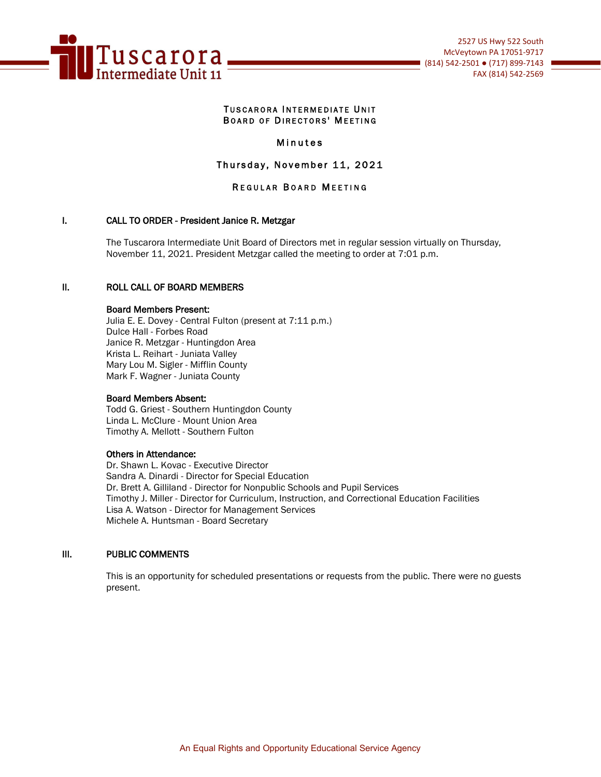

#### TUSCARORA INTERMEDIATE UNIT BOARD OF DIRECTORS' MEETING

## Minutes

## Thursday, November 11, 2021

## REGULAR BOARD MEETING

## I. CALL TO ORDER - President Janice R. Metzgar

The Tuscarora Intermediate Unit Board of Directors met in regular session virtually on Thursday, November 11, 2021. President Metzgar called the meeting to order at 7:01 p.m.

## II. ROLL CALL OF BOARD MEMBERS

#### Board Members Present:

Julia E. E. Dovey - Central Fulton (present at 7:11 p.m.) Dulce Hall - Forbes Road Janice R. Metzgar - Huntingdon Area Krista L. Reihart - Juniata Valley Mary Lou M. Sigler - Mifflin County Mark F. Wagner - Juniata County

#### Board Members Absent:

Todd G. Griest - Southern Huntingdon County Linda L. McClure - Mount Union Area Timothy A. Mellott - Southern Fulton

#### Others in Attendance:

Dr. Shawn L. Kovac - Executive Director Sandra A. Dinardi - Director for Special Education Dr. Brett A. Gilliland - Director for Nonpublic Schools and Pupil Services Timothy J. Miller - Director for Curriculum, Instruction, and Correctional Education Facilities Lisa A. Watson - Director for Management Services Michele A. Huntsman - Board Secretary

#### III. PUBLIC COMMENTS

This is an opportunity for scheduled presentations or requests from the public. There were no guests present.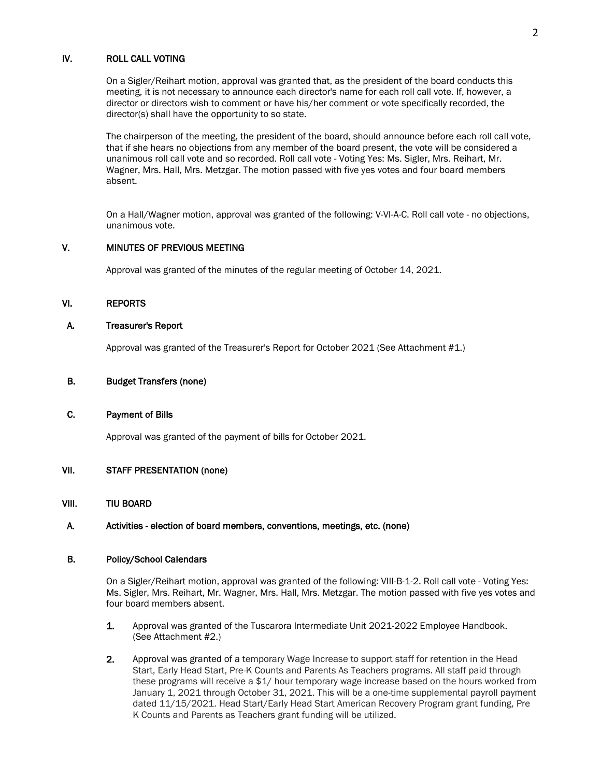## IV. ROLL CALL VOTING

On a Sigler/Reihart motion, approval was granted that, as the president of the board conducts this meeting, it is not necessary to announce each director's name for each roll call vote. If, however, a director or directors wish to comment or have his/her comment or vote specifically recorded, the director(s) shall have the opportunity to so state.

The chairperson of the meeting, the president of the board, should announce before each roll call vote, that if she hears no objections from any member of the board present, the vote will be considered a unanimous roll call vote and so recorded. Roll call vote - Voting Yes: Ms. Sigler, Mrs. Reihart, Mr. Wagner, Mrs. Hall, Mrs. Metzgar. The motion passed with five yes votes and four board members absent.

 On a Hall/Wagner motion, approval was granted of the following: V-VI-A-C. Roll call vote - no objections, unanimous vote.

## V. MINUTES OF PREVIOUS MEETING

Approval was granted of the minutes of the regular meeting of October 14, 2021.

## VI. REPORTS

## A. Treasurer's Report

Approval was granted of the Treasurer's Report for October 2021 (See Attachment #1.)

#### B. Budget Transfers (none)

#### C. Payment of Bills

Approval was granted of the payment of bills for October 2021.

## VII. STAFF PRESENTATION (none)

### VIII. TIU BOARD

#### A. Activities - election of board members, conventions, meetings, etc. (none)

#### B. Policy/School Calendars

 On a Sigler/Reihart motion, approval was granted of the following: VIII-B-1-2. Roll call vote - Voting Yes: Ms. Sigler, Mrs. Reihart, Mr. Wagner, Mrs. Hall, Mrs. Metzgar. The motion passed with five yes votes and four board members absent.

- 1. Approval was granted of the Tuscarora Intermediate Unit 2021-2022 Employee Handbook. (See Attachment #2.)
- 2. Approval was granted of a temporary Wage Increase to support staff for retention in the Head Start, Early Head Start, Pre-K Counts and Parents As Teachers programs. All staff paid through these programs will receive a \$1/ hour temporary wage increase based on the hours worked from January 1, 2021 through October 31, 2021. This will be a one-time supplemental payroll payment dated 11/15/2021. Head Start/Early Head Start American Recovery Program grant funding, Pre K Counts and Parents as Teachers grant funding will be utilized.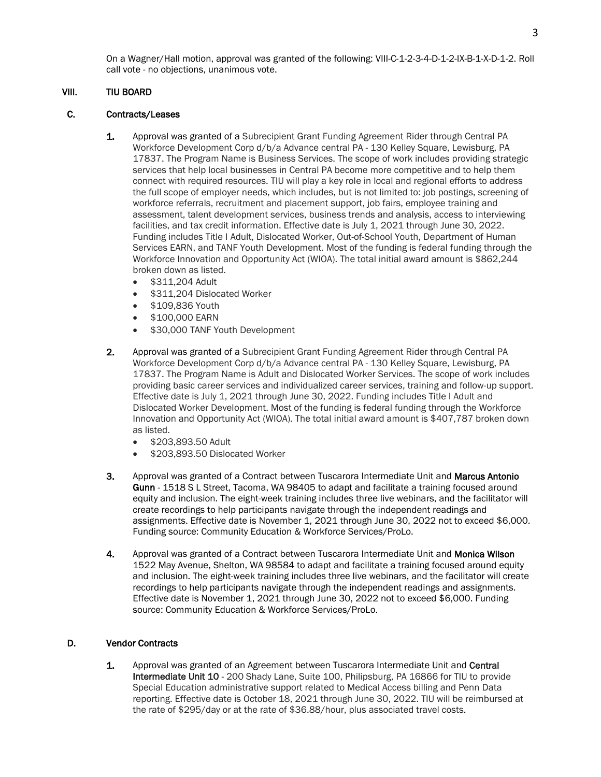On a Wagner/Hall motion, approval was granted of the following: VIII-C-1-2-3-4-D-1-2-IX-B-1-X-D-1-2. Roll call vote - no objections, unanimous vote.

## VIII. TIU BOARD

## C. Contracts/Leases

- 1. Approval was granted of a Subrecipient Grant Funding Agreement Rider through Central PA Workforce Development Corp d/b/a Advance central PA - 130 Kelley Square, Lewisburg, PA 17837. The Program Name is Business Services. The scope of work includes providing strategic services that help local businesses in Central PA become more competitive and to help them connect with required resources. TIU will play a key role in local and regional efforts to address the full scope of employer needs, which includes, but is not limited to: job postings, screening of workforce referrals, recruitment and placement support, job fairs, employee training and assessment, talent development services, business trends and analysis, access to interviewing facilities, and tax credit information. Effective date is July 1, 2021 through June 30, 2022. Funding includes Title I Adult, Dislocated Worker, Out-of-School Youth, Department of Human Services EARN, and TANF Youth Development. Most of the funding is federal funding through the Workforce Innovation and Opportunity Act (WIOA). The total initial award amount is \$862,244 broken down as listed.
	- \$311,204 Adult
	- \$311,204 Dislocated Worker
	- \$109,836 Youth
	- \$100,000 EARN
	- \$30,000 TANF Youth Development
- 2. Approval was granted of a Subrecipient Grant Funding Agreement Rider through Central PA Workforce Development Corp d/b/a Advance central PA - 130 Kelley Square, Lewisburg, PA 17837. The Program Name is Adult and Dislocated Worker Services. The scope of work includes providing basic career services and individualized career services, training and follow-up support. Effective date is July 1, 2021 through June 30, 2022. Funding includes Title I Adult and Dislocated Worker Development. Most of the funding is federal funding through the Workforce Innovation and Opportunity Act (WIOA). The total initial award amount is \$407,787 broken down as listed.
	- \$203,893.50 Adult
	- \$203,893.50 Dislocated Worker
- 3. Approval was granted of a Contract between Tuscarora Intermediate Unit and Marcus Antonio Gunn - 1518 S L Street, Tacoma, WA 98405 to adapt and facilitate a training focused around equity and inclusion. The eight-week training includes three live webinars, and the facilitator will create recordings to help participants navigate through the independent readings and assignments. Effective date is November 1, 2021 through June 30, 2022 not to exceed \$6,000. Funding source: Community Education & Workforce Services/ProLo.
- 4. Approval was granted of a Contract between Tuscarora Intermediate Unit and Monica Wilson 1522 May Avenue, Shelton, WA 98584 to adapt and facilitate a training focused around equity and inclusion. The eight-week training includes three live webinars, and the facilitator will create recordings to help participants navigate through the independent readings and assignments. Effective date is November 1, 2021 through June 30, 2022 not to exceed \$6,000. Funding source: Community Education & Workforce Services/ProLo.

## D. Vendor Contracts

1. Approval was granted of an Agreement between Tuscarora Intermediate Unit and Central Intermediate Unit 10 - 200 Shady Lane, Suite 100, Philipsburg, PA 16866 for TIU to provide Special Education administrative support related to Medical Access billing and Penn Data reporting. Effective date is October 18, 2021 through June 30, 2022. TIU will be reimbursed at the rate of \$295/day or at the rate of \$36.88/hour, plus associated travel costs.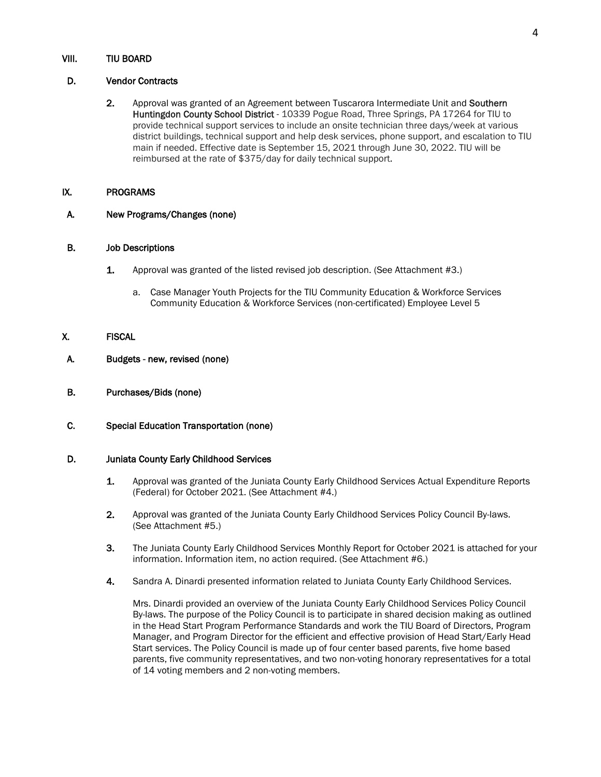#### VIII. TIU BOARD

## D. Vendor Contracts

2. Approval was granted of an Agreement between Tuscarora Intermediate Unit and Southern Huntingdon County School District - 10339 Pogue Road, Three Springs, PA 17264 for TIU to provide technical support services to include an onsite technician three days/week at various district buildings, technical support and help desk services, phone support, and escalation to TIU main if needed. Effective date is September 15, 2021 through June 30, 2022. TIU will be reimbursed at the rate of \$375/day for daily technical support.

#### IX. PROGRAMS

A. New Programs/Changes (none)

## B. Job Descriptions

- 1. Approval was granted of the listed revised job description. (See Attachment #3.)
	- a. Case Manager Youth Projects for the TIU Community Education & Workforce Services Community Education & Workforce Services (non-certificated) Employee Level 5

## X. FISCAL

- A. Budgets new, revised (none)
- B. Purchases/Bids (none)

## C. Special Education Transportation (none)

## D. Juniata County Early Childhood Services

- 1. Approval was granted of the Juniata County Early Childhood Services Actual Expenditure Reports (Federal) for October 2021. (See Attachment #4.)
- 2. Approval was granted of the Juniata County Early Childhood Services Policy Council By-laws. (See Attachment #5.)
- 3. The Juniata County Early Childhood Services Monthly Report for October 2021 is attached for your information. Information item, no action required. (See Attachment #6.)
- 4. Sandra A. Dinardi presented information related to Juniata County Early Childhood Services.

Mrs. Dinardi provided an overview of the Juniata County Early Childhood Services Policy Council By-laws. The purpose of the Policy Council is to participate in shared decision making as outlined in the Head Start Program Performance Standards and work the TIU Board of Directors, Program Manager, and Program Director for the efficient and effective provision of Head Start/Early Head Start services. The Policy Council is made up of four center based parents, five home based parents, five community representatives, and two non-voting honorary representatives for a total of 14 voting members and 2 non-voting members.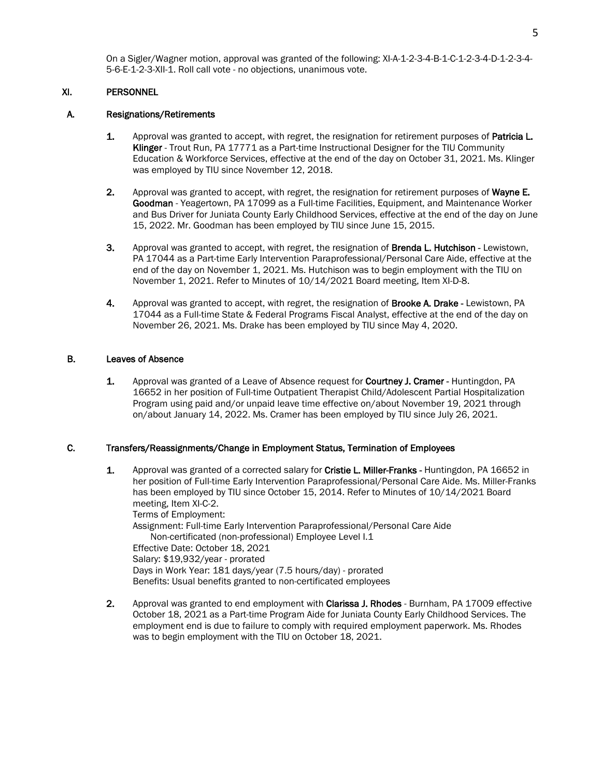On a Sigler/Wagner motion, approval was granted of the following: XI-A-1-2-3-4-B-1-C-1-2-3-4-D-1-2-3-4- 5-6-E-1-2-3-XII-1. Roll call vote - no objections, unanimous vote.

## XI. PERSONNEL

#### A. Resignations/Retirements

- 1. Approval was granted to accept, with regret, the resignation for retirement purposes of Patricia L. Klinger - Trout Run, PA 17771 as a Part-time Instructional Designer for the TIU Community Education & Workforce Services, effective at the end of the day on October 31, 2021. Ms. Klinger was employed by TIU since November 12, 2018.
- 2. Approval was granted to accept, with regret, the resignation for retirement purposes of Wayne E. Goodman - Yeagertown, PA 17099 as a Full-time Facilities, Equipment, and Maintenance Worker and Bus Driver for Juniata County Early Childhood Services, effective at the end of the day on June 15, 2022. Mr. Goodman has been employed by TIU since June 15, 2015.
- 3. Approval was granted to accept, with regret, the resignation of **Brenda L. Hutchison** Lewistown, PA 17044 as a Part-time Early Intervention Paraprofessional/Personal Care Aide, effective at the end of the day on November 1, 2021. Ms. Hutchison was to begin employment with the TIU on November 1, 2021. Refer to Minutes of 10/14/2021 Board meeting, Item XI-D-8.
- 4. Approval was granted to accept, with regret, the resignation of **Brooke A. Drake** Lewistown, PA 17044 as a Full-time State & Federal Programs Fiscal Analyst, effective at the end of the day on November 26, 2021. Ms. Drake has been employed by TIU since May 4, 2020.

#### B. Leaves of Absence

1. Approval was granted of a Leave of Absence request for **Courtney J. Cramer** - Huntingdon, PA 16652 in her position of Full-time Outpatient Therapist Child/Adolescent Partial Hospitalization Program using paid and/or unpaid leave time effective on/about November 19, 2021 through on/about January 14, 2022. Ms. Cramer has been employed by TIU since July 26, 2021.

#### C. Transfers/Reassignments/Change in Employment Status, Termination of Employees

- 1. Approval was granted of a corrected salary for Cristie L. Miller-Franks Huntingdon, PA 16652 in her position of Full-time Early Intervention Paraprofessional/Personal Care Aide. Ms. Miller-Franks has been employed by TIU since October 15, 2014. Refer to Minutes of 10/14/2021 Board meeting, Item XI-C-2. Terms of Employment: Assignment: Full-time Early Intervention Paraprofessional/Personal Care Aide Non-certificated (non-professional) Employee Level I.1 Effective Date: October 18, 2021 Salary: \$19,932/year - prorated Days in Work Year: 181 days/year (7.5 hours/day) - prorated Benefits: Usual benefits granted to non-certificated employees
- 2. Approval was granted to end employment with Clarissa J. Rhodes Burnham, PA 17009 effective October 18, 2021 as a Part-time Program Aide for Juniata County Early Childhood Services. The employment end is due to failure to comply with required employment paperwork. Ms. Rhodes was to begin employment with the TIU on October 18, 2021.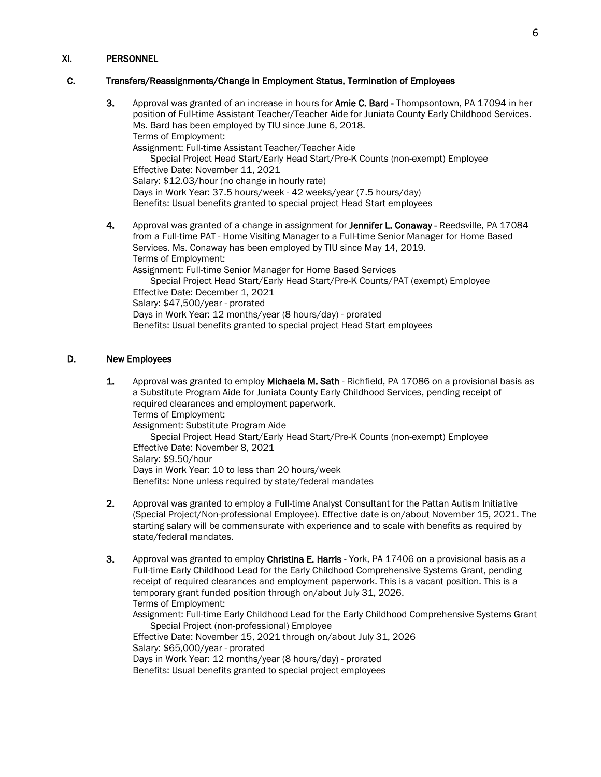## XI. PERSONNEL

## C. Transfers/Reassignments/Change in Employment Status, Termination of Employees

3. Approval was granted of an increase in hours for Amie C. Bard - Thompsontown, PA 17094 in her position of Full-time Assistant Teacher/Teacher Aide for Juniata County Early Childhood Services. Ms. Bard has been employed by TIU since June 6, 2018. Terms of Employment: Assignment: Full-time Assistant Teacher/Teacher Aide Special Project Head Start/Early Head Start/Pre-K Counts (non-exempt) Employee Effective Date: November 11, 2021 Salary: \$12.03/hour (no change in hourly rate) Days in Work Year: 37.5 hours/week - 42 weeks/year (7.5 hours/day) Benefits: Usual benefits granted to special project Head Start employees 4. Approval was granted of a change in assignment for Jennifer L. Conaway - Reedsville, PA 17084 from a Full-time PAT - Home Visiting Manager to a Full-time Senior Manager for Home Based Services. Ms. Conaway has been employed by TIU since May 14, 2019. Terms of Employment: Assignment: Full-time Senior Manager for Home Based Services Special Project Head Start/Early Head Start/Pre-K Counts/PAT (exempt) Employee Effective Date: December 1, 2021

Salary: \$47,500/year - prorated Days in Work Year: 12 months/year (8 hours/day) - prorated Benefits: Usual benefits granted to special project Head Start employees

## D. New Employees

- 1. Approval was granted to employ Michaela M. Sath Richfield, PA 17086 on a provisional basis as a Substitute Program Aide for Juniata County Early Childhood Services, pending receipt of required clearances and employment paperwork. Terms of Employment: Assignment: Substitute Program Aide Special Project Head Start/Early Head Start/Pre-K Counts (non-exempt) Employee Effective Date: November 8, 2021 Salary: \$9.50/hour Days in Work Year: 10 to less than 20 hours/week Benefits: None unless required by state/federal mandates
- 2. Approval was granted to employ a Full-time Analyst Consultant for the Pattan Autism Initiative (Special Project/Non-professional Employee). Effective date is on/about November 15, 2021. The starting salary will be commensurate with experience and to scale with benefits as required by state/federal mandates.
- 3. Approval was granted to employ Christina E. Harris York, PA 17406 on a provisional basis as a Full-time Early Childhood Lead for the Early Childhood Comprehensive Systems Grant, pending receipt of required clearances and employment paperwork. This is a vacant position. This is a temporary grant funded position through on/about July 31, 2026. Terms of Employment:

Assignment: Full-time Early Childhood Lead for the Early Childhood Comprehensive Systems Grant Special Project (non-professional) Employee

Effective Date: November 15, 2021 through on/about July 31, 2026 Salary: \$65,000/year - prorated Days in Work Year: 12 months/year (8 hours/day) - prorated Benefits: Usual benefits granted to special project employees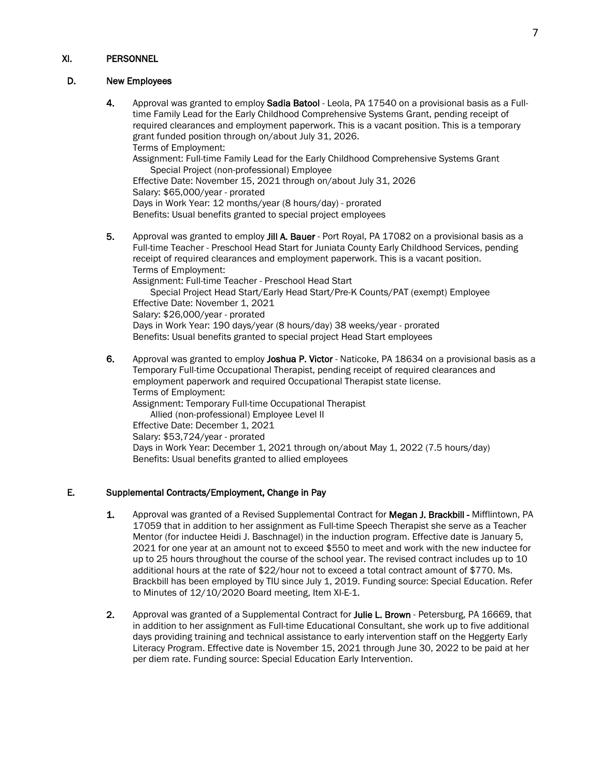## XI. PERSONNEL

## D. New Employees

- 4. Approval was granted to employ Sadia Batool Leola, PA 17540 on a provisional basis as a Fulltime Family Lead for the Early Childhood Comprehensive Systems Grant, pending receipt of required clearances and employment paperwork. This is a vacant position. This is a temporary grant funded position through on/about July 31, 2026. Terms of Employment: Assignment: Full-time Family Lead for the Early Childhood Comprehensive Systems Grant Special Project (non-professional) Employee Effective Date: November 15, 2021 through on/about July 31, 2026 Salary: \$65,000/year - prorated Days in Work Year: 12 months/year (8 hours/day) - prorated Benefits: Usual benefits granted to special project employees
- 5. Approval was granted to employ Jill A. Bauer Port Royal, PA 17082 on a provisional basis as a Full-time Teacher - Preschool Head Start for Juniata County Early Childhood Services, pending receipt of required clearances and employment paperwork. This is a vacant position. Terms of Employment: Assignment: Full-time Teacher - Preschool Head Start Special Project Head Start/Early Head Start/Pre-K Counts/PAT (exempt) Employee Effective Date: November 1, 2021

Salary: \$26,000/year - prorated Days in Work Year: 190 days/year (8 hours/day) 38 weeks/year - prorated Benefits: Usual benefits granted to special project Head Start employees

6. Approval was granted to employ Joshua P. Victor - Naticoke, PA 18634 on a provisional basis as a Temporary Full-time Occupational Therapist, pending receipt of required clearances and employment paperwork and required Occupational Therapist state license. Terms of Employment: Assignment: Temporary Full-time Occupational Therapist Allied (non-professional) Employee Level II Effective Date: December 1, 2021 Salary: \$53,724/year - prorated Days in Work Year: December 1, 2021 through on/about May 1, 2022 (7.5 hours/day) Benefits: Usual benefits granted to allied employees

## E. Supplemental Contracts/Employment, Change in Pay

- 1. Approval was granted of a Revised Supplemental Contract for Megan J. Brackbill Mifflintown, PA 17059 that in addition to her assignment as Full-time Speech Therapist she serve as a Teacher Mentor (for inductee Heidi J. Baschnagel) in the induction program. Effective date is January 5, 2021 for one year at an amount not to exceed \$550 to meet and work with the new inductee for up to 25 hours throughout the course of the school year. The revised contract includes up to 10 additional hours at the rate of \$22/hour not to exceed a total contract amount of \$770. Ms. Brackbill has been employed by TIU since July 1, 2019. Funding source: Special Education. Refer to Minutes of 12/10/2020 Board meeting, Item XI-E-1.
- 2. Approval was granted of a Supplemental Contract for Julie L. Brown Petersburg, PA 16669, that in addition to her assignment as Full-time Educational Consultant, she work up to five additional days providing training and technical assistance to early intervention staff on the Heggerty Early Literacy Program. Effective date is November 15, 2021 through June 30, 2022 to be paid at her per diem rate. Funding source: Special Education Early Intervention.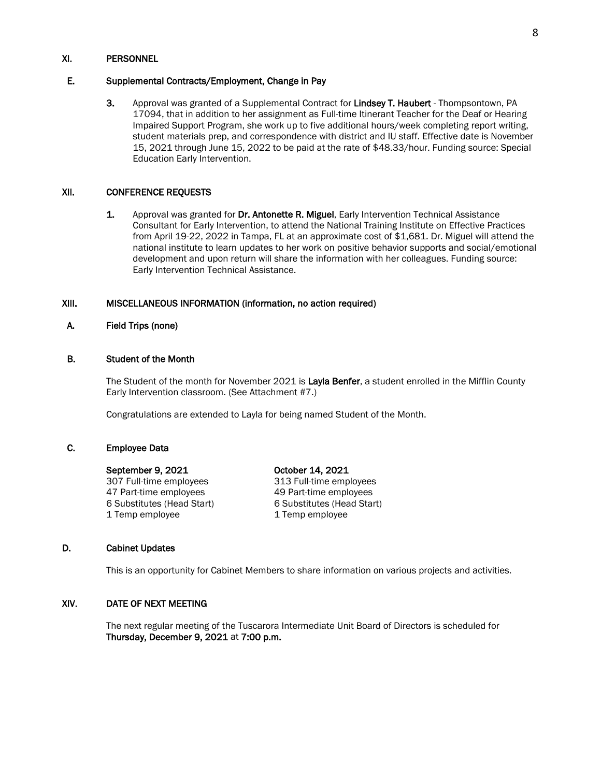#### XI. PERSONNEL

## E. Supplemental Contracts/Employment, Change in Pay

3. Approval was granted of a Supplemental Contract for Lindsey T. Haubert - Thompsontown, PA 17094, that in addition to her assignment as Full-time Itinerant Teacher for the Deaf or Hearing Impaired Support Program, she work up to five additional hours/week completing report writing, student materials prep, and correspondence with district and IU staff. Effective date is November 15, 2021 through June 15, 2022 to be paid at the rate of \$48.33/hour. Funding source: Special Education Early Intervention.

#### XII. CONFERENCE REQUESTS

1. Approval was granted for Dr. Antonette R. Miguel, Early Intervention Technical Assistance Consultant for Early Intervention, to attend the National Training Institute on Effective Practices from April 19-22, 2022 in Tampa, FL at an approximate cost of \$1,681. Dr. Miguel will attend the national institute to learn updates to her work on positive behavior supports and social/emotional development and upon return will share the information with her colleagues. Funding source: Early Intervention Technical Assistance.

## XIII. MISCELLANEOUS INFORMATION (information, no action required)

## A. Field Trips (none)

## B. Student of the Month

The Student of the month for November 2021 is Layla Benfer, a student enrolled in the Mifflin County Early Intervention classroom. (See Attachment #7.)

Congratulations are extended to Layla for being named Student of the Month.

#### C. Employee Data

#### September 9, 2021 October 14, 2021

47 Part-time employees 49 Part-time employees<br>6 Substitutes (Head Start) 6 Substitutes (Head Start) 6 Substitutes (Head Start) 1 Temp employee 1 Temp employee

307 Full-time employees 313 Full-time employees

#### D. Cabinet Updates

This is an opportunity for Cabinet Members to share information on various projects and activities.

## XIV. DATE OF NEXT MEETING

The next regular meeting of the Tuscarora Intermediate Unit Board of Directors is scheduled for Thursday, December 9, 2021 at 7:00 p.m.